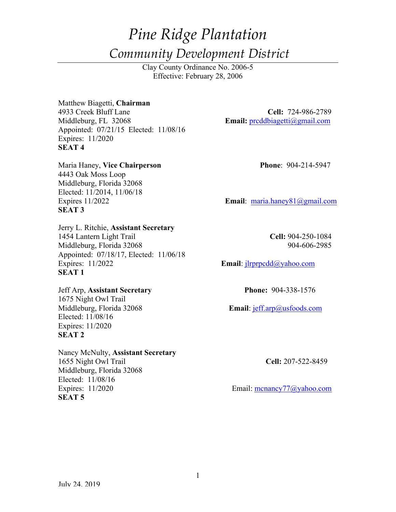# *Pine Ridge Plantation Community Development District*

Clay County Ordinance No. 2006-5 Effective: February 28, 2006

Matthew Biagetti, **Chairman** 4933 Creek Bluff Lane **Cell:** 724-986-2789 Middleburg, FL 32068 **Email:** prcddbiagetti@gmail.com Appointed: 07/21/15 Elected: 11/08/16 Expires: 11/2020 **SEAT 4**

Maria Haney, Vice Chairperson **Phone**: 904-214-5947 4443 Oak Moss Loop Middleburg, Florida 32068 Elected: 11/2014, 11/06/18 **SEAT 3**

Jerry L. Ritchie, **Assistant Secretary** 1454 Lantern Light Trail **Cell:** 904-250-1084 Middleburg, Florida 32068 904-606-2985 Appointed: 07/18/17, Elected: 11/06/18 Expires: 11/2022 **Email**: jlrprpcdd@yahoo.com **SEAT 1**

Jeff Arp, **Assistant Secretary Phone:** 904-338-1576 1675 Night Owl Trail Elected: 11/08/16 Expires: 11/2020 **SEAT 2** 

Nancy McNulty, **Assistant Secretary** 1655 Night Owl Trail **Cell:** 207-522-8459 Middleburg, Florida 32068 Elected: 11/08/16 Expires: 11/2020 Email: mcnancy77@yahoo.com **SEAT 5** 

Expires 11/2022 **Email**: maria.haney81@gmail.com

Middleburg, Florida 32068 **Email**: jeff.arp@usfoods.com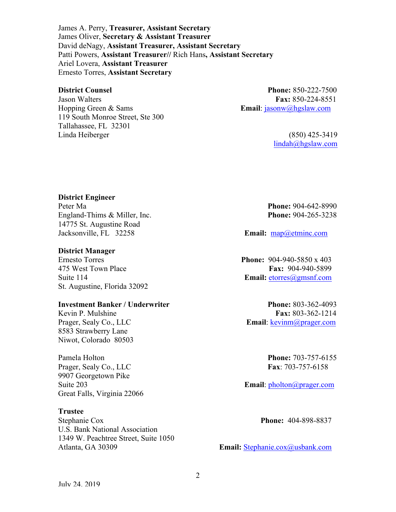James A. Perry, **Treasurer, Assistant Secretary** James Oliver, **Secretary & Assistant Treasurer** David deNagy, **Assistant Treasurer, Assistant Secretary** Patti Powers, **Assistant Treasurer//** Rich Hans**, Assistant Secretary** Ariel Lovera, **Assistant Treasurer** Ernesto Torres, **Assistant Secretary**

Jason Walters **Fax:** 850-224-8551 Hopping Green & Sams **Email**: jasonw@hgslaw.com 119 South Monroe Street, Ste 300 Tallahassee, FL 32301 Linda Heiberger (850) 425-3419

**District Counsel Phone:** 850-222-7500

lindah@hgslaw.com

#### **District Engineer**

Peter Ma **Phone:** 904-642-8990 England-Thims & Miller, Inc. **Phone:** 904-265-3238 14775 St. Augustine Road Jacksonville, FL 32258 **Email:** map@etminc.com

#### **District Manager**

St. Augustine, Florida 32092

#### **Investment Banker / Underwriter Phone:** 803-362-4093

8583 Strawberry Lane Niwot, Colorado 80503

Pamela Holton **Phone:** 703-757-6155 Prager, Sealy Co., LLC **Fax**: 703-757-6158 9907 Georgetown Pike Great Falls, Virginia 22066

### **Trustee**

Stephanie Cox **Phone:** 404-898-8837 U.S. Bank National Association 1349 W. Peachtree Street, Suite 1050 Atlanta, GA 30309 **Email:** Stephanie.cox@usbank.com

Ernesto Torres **Phone:** 904-940-5850 x 403 475 West Town Place **Fax:** 904-940-5899 Suite 114 **Email:** etorres@gmsnf.com

Kevin P. Mulshine **Fax:** 803-362-1214 Prager, Sealy Co., LLC **Email**: kevinm@prager.com

Suite 203 **Email**: pholton@prager.com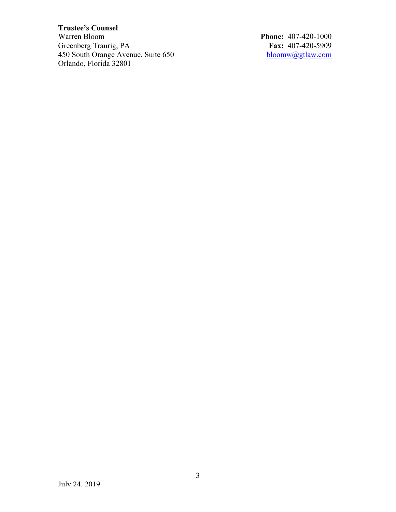# **Trustee's Counsel**

Greenberg Traurig, PA<br>
450 South Orange Avenue, Suite 650<br> **Fax:** 407-420-5909<br>
<u>bloomw@gtlaw.com</u> 450 South Orange Avenue, Suite 650 Orlando, Florida 32801

**Phone: 407-420-1000<br>Fax: 407-420-5909**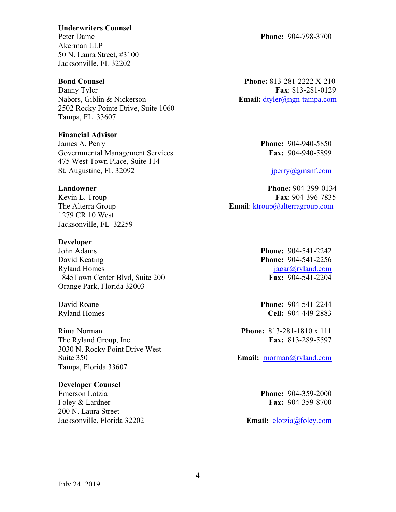#### **Underwriters Counsel**

Akerman LLP 50 N. Laura Street, #3100 Jacksonville, FL 32202

Danny Tyler **Fax**: 813-281-0129 Nabors, Giblin & Nickerson **Email:** dtyler@ngn-tampa.com 2502 Rocky Pointe Drive, Suite 1060 Tampa, FL 33607

### **Financial Advisor**

James A. Perry **Phone:** 904-940-5850 Governmental Management Services **Fax:** 904-940-5899 475 West Town Place, Suite 114 St. Augustine, FL 32092 jperry@gmsnf.com

1279 CR 10 West Jacksonville, FL 32259

### **Developer**

John Adams **Phone:** 904-541-2242 David Keating **Phone:** 904-541-2256 Ryland Homes jagar@ryland.com 1845Town Center Blvd, Suite 200 **Fax:** 904-541-2204 Orange Park, Florida 32003

Rima Norman **Phone:** 813-281-1810 x 111 The Ryland Group, Inc. **Fax:** 813-289-5597 3030 N. Rocky Point Drive West Suite 350 **Email:** rnorman@ryland.com Tampa, Florida 33607

### **Developer Counsel**

Emerson Lotzia **Phone:** 904-359-2000 Foley & Lardner **Fax:** 904-359-8700 200 N. Laura Street Jacksonville, Florida 32202 **Email:** elotzia@foley.com

**Bond Counsel Phone:** 813-281-2222 X-210

**Landowner Phone:** 904-399-0134 Kevin L. Troup **Fax**: 904-396-7835 The Alterra Group **Email**: ktroup@alterragroup.com

David Roane **Phone:** 904-541-2244 Ryland Homes **Cell:** 904-449-2883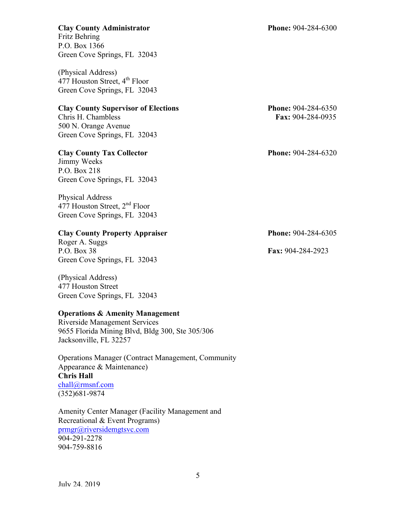Fritz Behring P.O. Box 1366

Green Cove Springs, FL 32043 (Physical Address) 477 Houston Street,  $4^{th}$  Floor

Green Cove Springs, FL 32043

## **Clay County Supervisor of Elections Phone:** 904-284-6350

Chris H. Chambless **Fax:** 904-284-0935 500 N. Orange Avenue Green Cove Springs, FL 32043

## **Clay County Tax Collector Phone:** 904-284-6320

Jimmy Weeks P.O. Box 218 Green Cove Springs, FL 32043

Physical Address 477 Houston Street, 2nd Floor Green Cove Springs, FL 32043

# **Clay County Property Appraiser Phone:** 904-284-6305

Roger A. Suggs P.O. Box 38 **Fax:** 904-284-2923 Green Cove Springs, FL 32043

(Physical Address) 477 Houston Street Green Cove Springs, FL 32043

# **Operations & Amenity Management**

Riverside Management Services 9655 Florida Mining Blvd, Bldg 300, Ste 305/306 Jacksonville, FL 32257

Operations Manager (Contract Management, Community Appearance & Maintenance) **Chris Hall** chall@rmsnf.com (352)681-9874

Amenity Center Manager (Facility Management and Recreational & Event Programs) prmgr@riversidemgtsvc.com 904-291-2278 904-759-8816